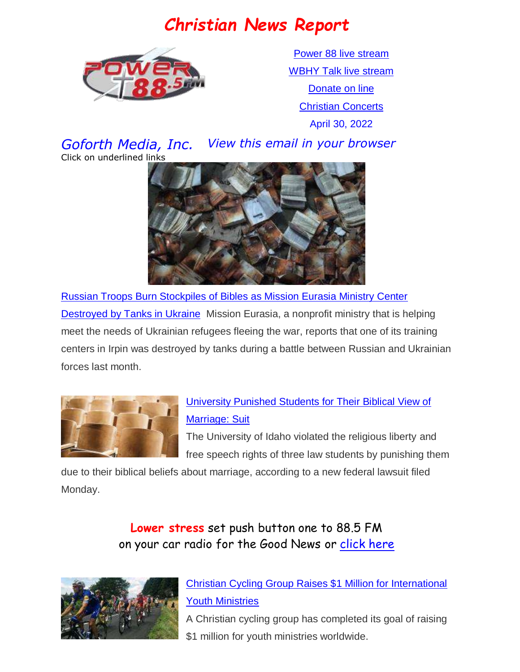# *Christian News Report*



[Power 88 live stream](https://us7.maindigitalstream.com/2920/index.php) [WBHY Talk live stream](http://148.72.155.47:8573/Ahxed5k) [Donate on line](https://forms.ministryforms.net/viewForm.aspx?formId=018b4ff7-2c2f-4f0e-8ef2-689f9601b826) [Christian Concerts](https://www.goforth.org/Concerts)

April 30, 2022

*Goforth Media, Inc. View this email in your browser* Click on underlined links



[Russian Troops Burn Stockpiles of Bibles as Mission Eurasia Ministry Center](https://www1.cbn.com/cbnnews/cwn/2022/april/russian-troops-burn-stockpiles-of-bibles-as-mission-eurasia-ministry-center-destroyed-by-tanks-in-ukraine)  [Destroyed by Tanks in Ukraine](https://www1.cbn.com/cbnnews/cwn/2022/april/russian-troops-burn-stockpiles-of-bibles-as-mission-eurasia-ministry-center-destroyed-by-tanks-in-ukraine) Mission Eurasia, a nonprofit ministry that is helping meet the needs of Ukrainian refugees fleeing the war, reports that one of its training centers in Irpin was destroyed by tanks during a battle between Russian and Ukrainian forces last month.



### [University Punished Students for Their Biblical View of](https://www.christianheadlines.com/contributors/michael-foust/university-punished-students-for-their-biblical-view-of-marriage-suit.html)  [Marriage: Suit](https://www.christianheadlines.com/contributors/michael-foust/university-punished-students-for-their-biblical-view-of-marriage-suit.html)

The University of Idaho violated the religious liberty and free speech rights of three law students by punishing them

due to their biblical beliefs about marriage, according to a new federal lawsuit filed Monday.

> **Lower stress** set push button one to 88.5 FM on your car radio for the Good News or [click here](https://us7.maindigitalstream.com/2920/)



[Christian Cycling Group Raises \\$1 Million for International](https://www.christianheadlines.com/contributors/milton-quintanilla/christian-cycling-group-raises-1-million-for-international-youth-ministries.html)  [Youth Ministries](https://www.christianheadlines.com/contributors/milton-quintanilla/christian-cycling-group-raises-1-million-for-international-youth-ministries.html) 

A Christian cycling group has completed its goal of raising \$1 million for youth ministries worldwide.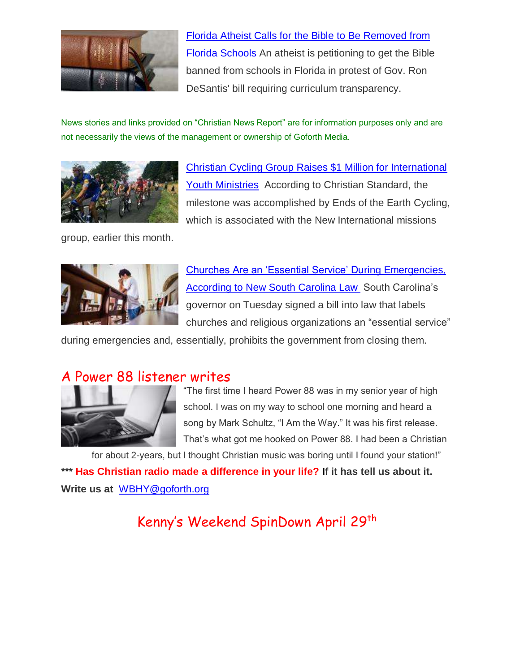

[Florida Atheist Calls for the Bible to Be Removed from](https://www.christianheadlines.com/contributors/milton-quintanilla/florida-atheist-calls-for-the-bible-to-be-removed-from-florida-schools.html)  [Florida Schools](https://www.christianheadlines.com/contributors/milton-quintanilla/florida-atheist-calls-for-the-bible-to-be-removed-from-florida-schools.html) An atheist is petitioning to get the Bible banned from schools in Florida in protest of Gov. Ron DeSantis' bill requiring curriculum transparency.

News stories and links provided on "Christian News Report" are for information purposes only and are not necessarily the views of the management or ownership of Goforth Media.



[Christian Cycling Group Raises \\$1 Million for International](https://www.christianheadlines.com/contributors/milton-quintanilla/christian-cycling-group-raises-1-million-for-international-youth-ministries.html)  [Youth Ministries](https://www.christianheadlines.com/contributors/milton-quintanilla/christian-cycling-group-raises-1-million-for-international-youth-ministries.html) According to Christian Standard, the milestone was accomplished by Ends of the Earth Cycling, which is associated with the New International missions

group, earlier this month.



[Churches Are an 'Essential Service' During Emergencies,](https://www.christianheadlines.com/contributors/michael-foust/churches-are-an-essential-service-during-emergencies-according-to-new-sc-law.html)  **[According to New South Carolina Law](https://www.christianheadlines.com/contributors/michael-foust/churches-are-an-essential-service-during-emergencies-according-to-new-sc-law.html) South Carolina's** governor on Tuesday signed a bill into law that labels churches and religious organizations an "essential service"

during emergencies and, essentially, prohibits the government from closing them.

### A Power 88 listener writes



"The first time I heard Power 88 was in my senior year of high school. I was on my way to school one morning and heard a song by Mark Schultz, "I Am the Way." It was his first release. That's what got me hooked on Power 88. I had been a Christian

for about 2-years, but I thought Christian music was boring until I found your station!" **\*\*\* Has Christian radio made a difference in your life? If it has tell us about it. Write us at** [WBHY@goforth.org](mailto:WBHY@goforth.org)

Kenny's Weekend SpinDown April 29<sup>th</sup>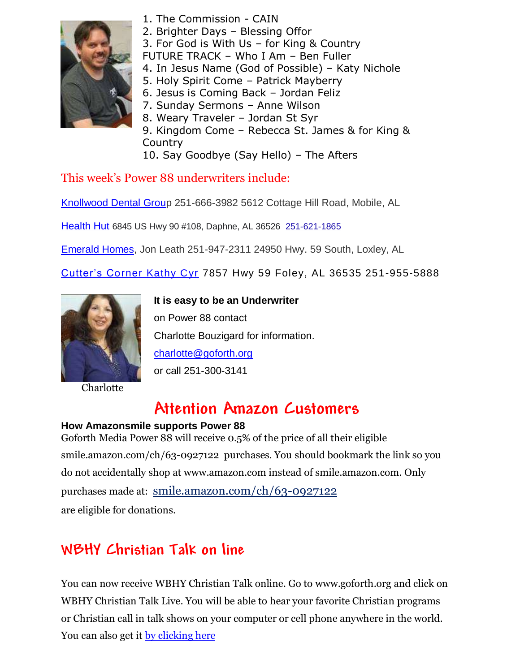

- 1. The Commission CAIN
- 2. Brighter Days Blessing Offor
- 3. For God is With Us for King & Country
- FUTURE TRACK Who I Am Ben Fuller
- 4. In Jesus Name (God of Possible) Katy Nichole
- 5. Holy Spirit Come Patrick Mayberry
- 6. Jesus is Coming Back Jordan Feliz
- 7. Sunday Sermons Anne Wilson
- 8. Weary Traveler Jordan St Syr
- 9. Kingdom Come Rebecca St. James & for King & **Country**
- 10. Say Goodbye (Say Hello) The Afters

This week's Power 88 underwriters include:

[Knollwood Dental Group](http://www.knollwooddentalgroup.com/) 251-666-3982 5612 Cottage Hill Road, Mobile, AL

[Health Hut](https://healthhutal.com/) 6845 US Hwy 90 #108, Daphne, AL 36526 [251-621-1865](https://www.google.com/search?q=health+hut&sxsrf=AOaemvKAO2o3-RShYCfkCkwOrU24_oo5VA%3A1641253273525&source=hp&ei=mYnTYZLmHZSawbkP9rSCwAk&iflsig=ALs-wAMAAAAAYdOXqYmp-VK7uqzwQEXkGIHvhjP24i9X&ved=0ahUKEwjSluny4Jb1AhUUTTABHXaaAJgQ4dUDCAk&uact=5&oq=health+hut&gs_lcp=Cgdnd3Mtd2l6EAMyCAgAEIAEELEDMgsILhCABBDHARCvATIICAAQgAQQyQMyBQgAEIAEMgsILhCABBDHARCvATILCC4QgAQQxwEQowIyBQgAEIAEMgsILhCABBDHARCvATILCC4QgAQQxwEQrwEyCwguEIAEEMcBEK8BOgcIIxDqAhAnOg0ILhDHARDRAxDqAhAnOgcILhDqAhAnOgQIIxAnOg4ILhCABBCxAxDHARCjAjoLCAAQgAQQsQMQgwE6EQguEIAEELEDEIMBEMcBENEDOgsILhCxAxDHARCjAjoICC4QsQMQgwE6CwguEIAEELEDEIMBOgUILhCABDoICAAQsQMQgwE6CAguEIAEELEDOgUIABCSAzoKCAAQgAQQsQMQClCKDVijOmCVQmgBcAB4AIAByQmIAfolkgEPMC40LjAuMS4yLjAuMi4xmAEAoAEBsAEK&sclient=gws-wiz)

[Emerald Homes,](http://www.emeraldhomesllc.com/) Jon Leath 251-947-2311 24950 Hwy. 59 South, Loxley, AL

[Cutter's Corner Kathy Cyr](https://www.mycutterscorner.com/) 7857 Hwy 59 Foley, AL 36535 251-955-5888



**Charlotte** 

**It is easy to be an Underwriter**  on Power 88 contact Charlotte Bouzigard for information. [charlotte@goforth.org](mailto:charlotte@goforth.org) or call 251-300-3141

# **Attention Amazon Customers**

#### **How Amazonsmile supports Power 88**

Goforth Media Power 88 will receive 0.5% of the price of all their eligible [smile.amazon.com/ch/63-0927122](https://www.amazon.com/gp/r.html?C=2AU9G2CMQ9IQM&R=1QK2JMJNP3GH7&T=C&U=http%3A%2F%2Fsmile.amazon.com%2Fch%2F63-0927122&A=BCZPEIHVLV99IVSUOLG1YPFXTGWA&H=XVLELAMUAST3PRIK4CW2E8JRKTCA) purchases. You should bookmark the link so you do not accidentally shop at www.amazon.com instead of smile.amazon.com. Only purchases made at: [smile.amazon.com/ch/63-0927122](https://www.amazon.com/gp/r.html?C=2AU9G2CMQ9IQM&R=1QK2JMJNP3GH7&T=C&U=http%3A%2F%2Fsmile.amazon.com%2Fch%2F63-0927122&A=BCZPEIHVLV99IVSUOLG1YPFXTGWA&H=XVLELAMUAST3PRIK4CW2E8JRKTCA) are eligible for donations.

### **WBHY Christian Talk on line**

You can now receive WBHY Christian Talk online. Go to [www.goforth.org](http://www.goforth.org/) and click on WBHY Christian Talk Live. You will be able to hear your favorite Christian programs or Christian call in talk shows on your computer or cell phone anywhere in the world. You can also get it [by clicking here](http://148.72.155.47:8573/Ahxed5k)